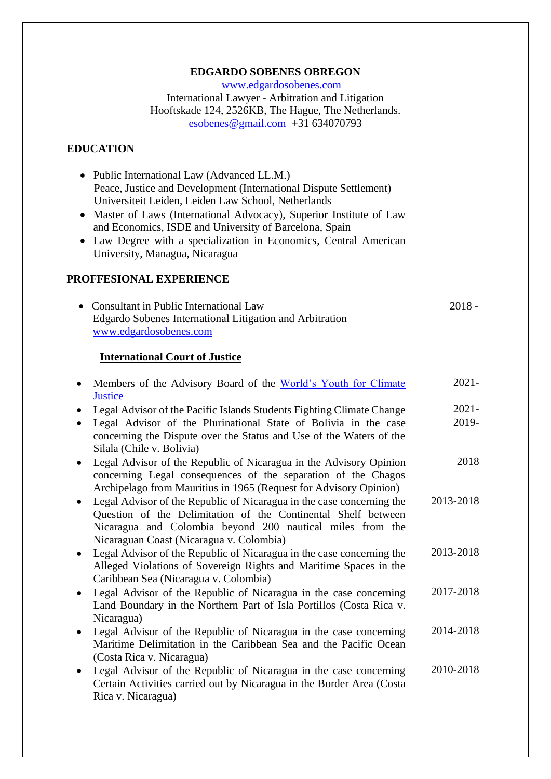#### **EDGARDO SOBENES OBREGON**

 [www.edgardosobenes.com](http://www.edgardosobenes.com/) International Lawyer - Arbitration and Litigation Hooftskade 124, 2526KB, The Hague, The Netherlands. [esobenes@gmail.com](mailto:esobenes@gmail.com) +31 634070793

### **EDUCATION**

- Public International Law (Advanced LL.M.) Peace, Justice and Development (International Dispute Settlement) Universiteit Leiden, Leiden Law School, Netherlands
- Master of Laws (International Advocacy), Superior Institute of Law and Economics, ISDE and University of Barcelona, Spain
- Law Degree with a specialization in Economics, Central American University, Managua, Nicaragua

### **PROFFESIONAL EXPERIENCE**

| • Consultant in Public International Law                 | 2018 - |
|----------------------------------------------------------|--------|
| Edgardo Sobenes International Litigation and Arbitration |        |
| www.edgardosobenes.com                                   |        |

#### **International Court of Justice**

| Members of the Advisory Board of the World's Youth for Climate                                                                                                                                                                                                 | $2021 -$          |
|----------------------------------------------------------------------------------------------------------------------------------------------------------------------------------------------------------------------------------------------------------------|-------------------|
| <b>Justice</b><br>Legal Advisor of the Pacific Islands Students Fighting Climate Change<br>Legal Advisor of the Plurinational State of Bolivia in the case<br>concerning the Dispute over the Status and Use of the Waters of the<br>Silala (Chile v. Bolivia) | $2021 -$<br>2019- |
| Legal Advisor of the Republic of Nicaragua in the Advisory Opinion<br>$\bullet$<br>concerning Legal consequences of the separation of the Chagos<br>Archipelago from Mauritius in 1965 (Request for Advisory Opinion)                                          | 2018              |
| Legal Advisor of the Republic of Nicaragua in the case concerning the<br>Question of the Delimitation of the Continental Shelf between<br>Nicaragua and Colombia beyond 200 nautical miles from the<br>Nicaraguan Coast (Nicaragua v. Colombia)                | 2013-2018         |
| Legal Advisor of the Republic of Nicaragua in the case concerning the<br>$\bullet$<br>Alleged Violations of Sovereign Rights and Maritime Spaces in the<br>Caribbean Sea (Nicaragua v. Colombia)                                                               | 2013-2018         |
| Legal Advisor of the Republic of Nicaragua in the case concerning<br>$\bullet$<br>Land Boundary in the Northern Part of Isla Portillos (Costa Rica v.<br>Nicaragua)                                                                                            | 2017-2018         |
| Legal Advisor of the Republic of Nicaragua in the case concerning<br>$\bullet$<br>Maritime Delimitation in the Caribbean Sea and the Pacific Ocean<br>(Costa Rica v. Nicaragua)                                                                                | 2014-2018         |
| Legal Advisor of the Republic of Nicaragua in the case concerning<br>$\bullet$<br>Certain Activities carried out by Nicaragua in the Border Area (Costa<br>Rica v. Nicaragua)                                                                                  | 2010-2018         |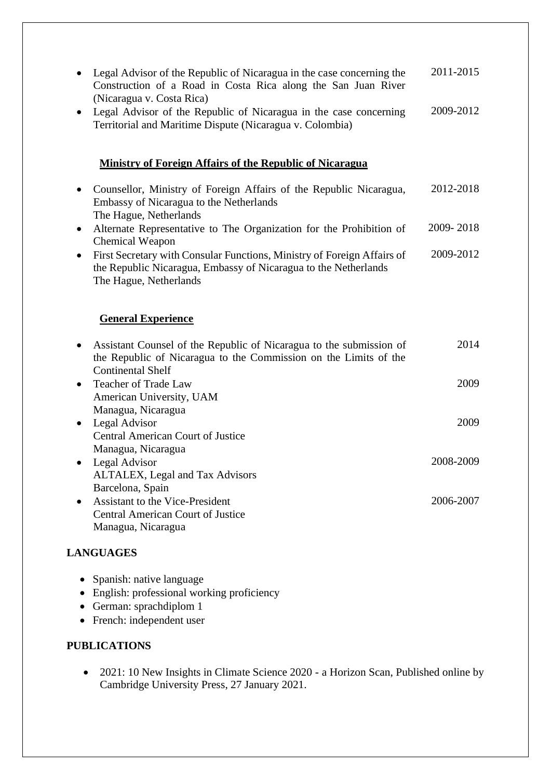|           | Legal Advisor of the Republic of Nicaragua in the case concerning the<br>Construction of a Road in Costa Rica along the San Juan River<br>(Nicaragua v. Costa Rica)  | 2011-2015 |
|-----------|----------------------------------------------------------------------------------------------------------------------------------------------------------------------|-----------|
|           | Legal Advisor of the Republic of Nicaragua in the case concerning<br>Territorial and Maritime Dispute (Nicaragua v. Colombia)                                        | 2009-2012 |
|           | <b>Ministry of Foreign Affairs of the Republic of Nicaragua</b>                                                                                                      |           |
|           | Counsellor, Ministry of Foreign Affairs of the Republic Nicaragua,<br>Embassy of Nicaragua to the Netherlands<br>The Hague, Netherlands                              | 2012-2018 |
| $\bullet$ | Alternate Representative to The Organization for the Prohibition of<br>Chemical Weapon                                                                               | 2009-2018 |
|           | First Secretary with Consular Functions, Ministry of Foreign Affairs of<br>the Republic Nicaragua, Embassy of Nicaragua to the Netherlands<br>The Hague, Netherlands | 2009-2012 |
|           | <b>General Experience</b>                                                                                                                                            |           |
|           | Assistant Counsel of the Republic of Nicaragua to the submission of<br>the Republic of Nicaragua to the Commission on the Limits of the                              | 2014      |
|           | <b>Continental Shelf</b><br><b>Teacher of Trade Law</b><br>American University, UAM                                                                                  | 2009      |
| ٠         | Managua, Nicaragua<br>Legal Advisor<br>Central American Court of Justice                                                                                             | 2009      |
| $\bullet$ | Managua, Nicaragua<br>Legal Advisor<br>ALTALEX, Legal and Tax Advisors                                                                                               | 2008-2009 |
|           | Barcelona, Spain<br><b>Assistant to the Vice-President</b><br><b>Central American Court of Justice</b><br>Managua, Nicaragua                                         | 2006-2007 |

# **LANGUAGES**

- Spanish: native language
- English: professional working proficiency
- German: sprachdiplom 1
- French: independent user

### **PUBLICATIONS**

• 2021: 10 New Insights in Climate Science 2020 - a Horizon Scan, Published online by Cambridge University Press, 27 January 2021.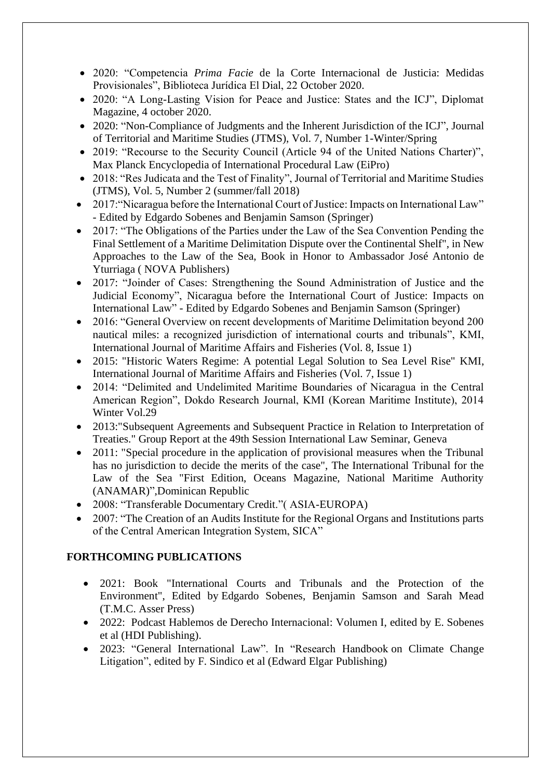- 2020: "Competencia *Prima Facie* de la Corte Internacional de Justicia: Medidas Provisionales", Biblioteca Jurídica El Dial, 22 October 2020.
- 2020: "A Long-Lasting Vision for Peace and Justice: States and the ICJ", Diplomat Magazine, 4 october 2020.
- 2020: "Non-Compliance of Judgments and the Inherent Jurisdiction of the ICJ", Journal of Territorial and Maritime Studies (JTMS), Vol. 7, Number 1-Winter/Spring
- 2019: "Recourse to the Security Council (Article 94 of the United Nations Charter)", Max Planck Encyclopedia of International Procedural Law (EiPro)
- 2018: "Res Judicata and the Test of Finality", Journal of Territorial and Maritime Studies (JTMS), Vol. 5, Number 2 (summer/fall 2018)
- 2017: "Nicaragua before the International Court of Justice: Impacts on International Law" - Edited by Edgardo Sobenes and Benjamin Samson (Springer)
- 2017: "The Obligations of the Parties under the Law of the Sea Convention Pending the Final Settlement of a Maritime Delimitation Dispute over the Continental Shelf", in New Approaches to the Law of the Sea, Book in Honor to Ambassador José Antonio de Yturriaga ( NOVA Publishers)
- 2017: "Joinder of Cases: Strengthening the Sound Administration of Justice and the Judicial Economy", Nicaragua before the International Court of Justice: Impacts on International Law" - Edited by Edgardo Sobenes and Benjamin Samson (Springer)
- 2016: "General Overview on recent developments of Maritime Delimitation beyond 200 nautical miles: a recognized jurisdiction of international courts and tribunals", KMI, International Journal of Maritime Affairs and Fisheries (Vol. 8, Issue 1)
- 2015: "Historic Waters Regime: A potential Legal Solution to Sea Level Rise" KMI, International Journal of Maritime Affairs and Fisheries (Vol. 7, Issue 1)
- 2014: "Delimited and Undelimited Maritime Boundaries of Nicaragua in the Central American Region", Dokdo Research Journal, KMI (Korean Maritime Institute), 2014 Winter Vol.29
- 2013:"Subsequent Agreements and Subsequent Practice in Relation to Interpretation of Treaties." Group Report at the 49th Session International Law Seminar, Geneva
- 2011: "Special procedure in the application of provisional measures when the Tribunal has no jurisdiction to decide the merits of the case", The International Tribunal for the Law of the Sea "First Edition, Oceans Magazine, National Maritime Authority (ANAMAR)",Dominican Republic
- 2008: "Transferable Documentary Credit."( ASIA-EUROPA)
- 2007: "The Creation of an Audits Institute for the Regional Organs and Institutions parts of the Central American Integration System, SICA"

## **FORTHCOMING PUBLICATIONS**

- 2021: Book "International Courts and Tribunals and the Protection of the Environment", Edited by Edgardo Sobenes, Benjamin Samson and Sarah Mead (T.M.C. Asser Press)
- 2022: Podcast Hablemos de Derecho Internacional: Volumen I, edited by E. Sobenes et al (HDI Publishing).
- 2023: "General International Law". In "Research Handbook on Climate Change Litigation", edited by F. Sindico et al (Edward Elgar Publishing)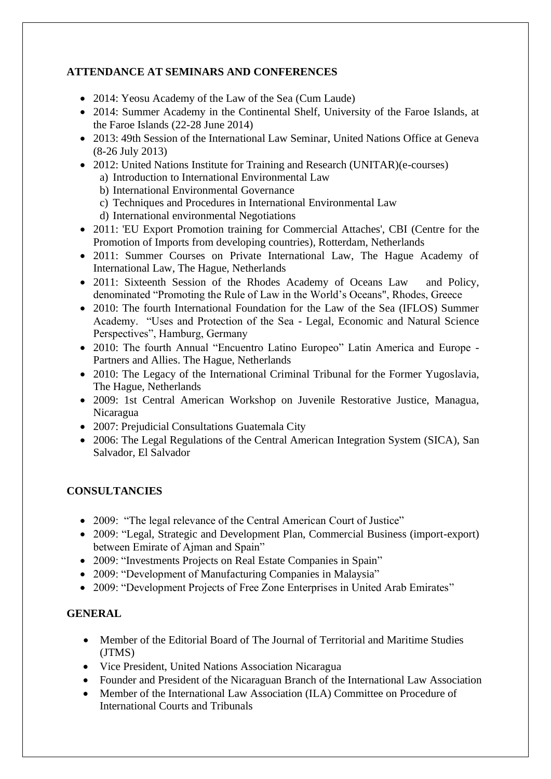# **ATTENDANCE AT SEMINARS AND CONFERENCES**

- 2014: Yeosu Academy of the Law of the Sea (Cum Laude)
- 2014: Summer Academy in the Continental Shelf, University of the Faroe Islands, at the Faroe Islands (22-28 June 2014)
- 2013: 49th Session of the International Law Seminar, United Nations Office at Geneva (8-26 July 2013)
- 2012: United Nations Institute for Training and Research (UNITAR)(e-courses)
	- a) Introduction to International Environmental Law
	- b) International Environmental Governance
	- c) Techniques and Procedures in International Environmental Law
	- d) International environmental Negotiations
- 2011: 'EU Export Promotion training for Commercial Attaches', CBI (Centre for the Promotion of Imports from developing countries), Rotterdam, Netherlands
- 2011: Summer Courses on Private International Law, The Hague Academy of International Law, The Hague, Netherlands
- 2011: Sixteenth Session of the Rhodes Academy of Oceans Law and Policy, denominated "Promoting the Rule of Law in the World's Oceans", Rhodes, Greece
- 2010: The fourth International Foundation for the Law of the Sea (IFLOS) Summer Academy. "Uses and Protection of the Sea - Legal, Economic and Natural Science Perspectives", Hamburg, Germany
- 2010: The fourth Annual "Encuentro Latino Europeo" Latin America and Europe Partners and Allies. The Hague, Netherlands
- 2010: The Legacy of the International Criminal Tribunal for the Former Yugoslavia, The Hague, Netherlands
- 2009: 1st Central American Workshop on Juvenile Restorative Justice, Managua, Nicaragua
- 2007: Prejudicial Consultations Guatemala City
- 2006: The Legal Regulations of the Central American Integration System (SICA), San Salvador, El Salvador

## **CONSULTANCIES**

- 2009: "The legal relevance of the Central American Court of Justice"
- 2009: "Legal, Strategic and Development Plan, Commercial Business (import-export) between Emirate of Ajman and Spain"
- 2009: "Investments Projects on Real Estate Companies in Spain"
- 2009: "Development of Manufacturing Companies in Malaysia"
- 2009: "Development Projects of Free Zone Enterprises in United Arab Emirates"

## **GENERAL**

- Member of the Editorial Board of The Journal of Territorial and Maritime Studies (JTMS)
- Vice President, United Nations Association Nicaragua
- Founder and President of the Nicaraguan Branch of the International Law Association
- Member of the International Law Association (ILA) Committee on Procedure of International Courts and Tribunals